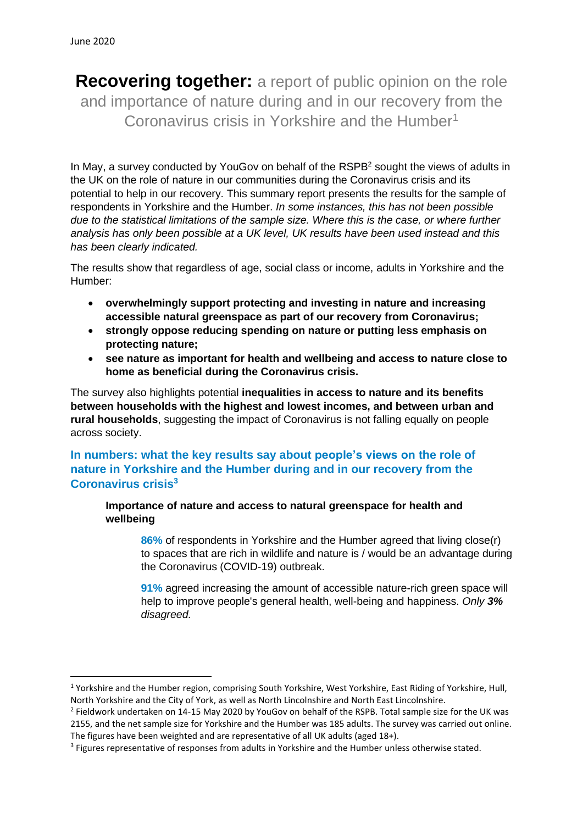**Recovering together:** a report of public opinion on the role and importance of nature during and in our recovery from the Coronavirus crisis in Yorkshire and the Humber<sup>1</sup>

In May, a survey conducted by YouGoy on behalf of the RSPB<sup>2</sup> sought the views of adults in the UK on the role of nature in our communities during the Coronavirus crisis and its potential to help in our recovery. This summary report presents the results for the sample of respondents in Yorkshire and the Humber. *In some instances, this has not been possible due to the statistical limitations of the sample size. Where this is the case, or where further analysis has only been possible at a UK level, UK results have been used instead and this has been clearly indicated.*

The results show that regardless of age, social class or income, adults in Yorkshire and the Humber:

- **overwhelmingly support protecting and investing in nature and increasing accessible natural greenspace as part of our recovery from Coronavirus;**
- **strongly oppose reducing spending on nature or putting less emphasis on protecting nature;**
- **see nature as important for health and wellbeing and access to nature close to home as beneficial during the Coronavirus crisis.**

The survey also highlights potential **inequalities in access to nature and its benefits between households with the highest and lowest incomes, and between urban and rural households**, suggesting the impact of Coronavirus is not falling equally on people across society.

# **In numbers: what the key results say about people's views on the role of nature in Yorkshire and the Humber during and in our recovery from the Coronavirus crisis 3**

**Importance of nature and access to natural greenspace for health and wellbeing**

**86%** of respondents in Yorkshire and the Humber agreed that living close(r) to spaces that are rich in wildlife and nature is / would be an advantage during the Coronavirus (COVID-19) outbreak.

**91%** agreed increasing the amount of accessible nature-rich green space will help to improve people's general health, well-being and happiness. *Only 3% disagreed.*

<sup>&</sup>lt;sup>1</sup> Yorkshire and the Humber region, comprising South Yorkshire, West Yorkshire, East Riding of Yorkshire, Hull, North Yorkshire and the City of York, as well as North Lincolnshire and North East Lincolnshire.

<sup>&</sup>lt;sup>2</sup> Fieldwork undertaken on 14-15 May 2020 by YouGov on behalf of the RSPB. Total sample size for the UK was 2155, and the net sample size for Yorkshire and the Humber was 185 adults. The survey was carried out online. The figures have been weighted and are representative of all UK adults (aged 18+).

<sup>&</sup>lt;sup>3</sup> Figures representative of responses from adults in Yorkshire and the Humber unless otherwise stated.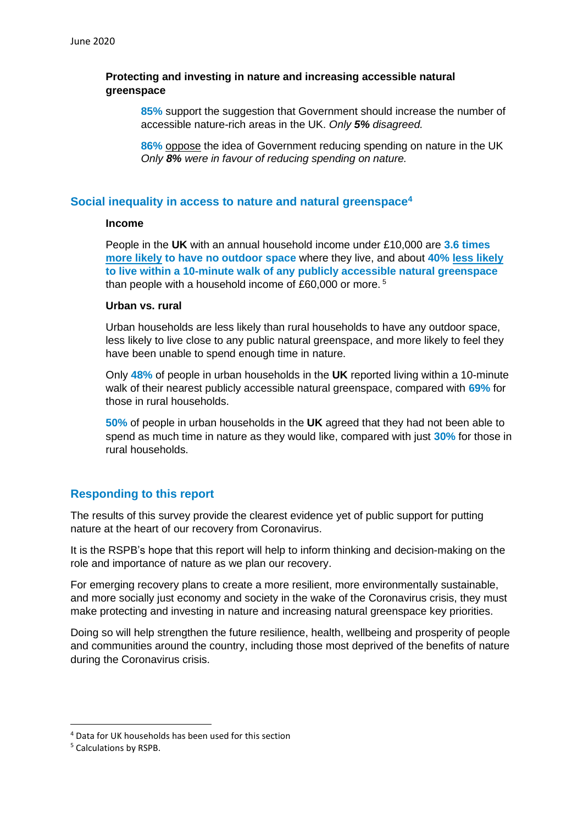## **Protecting and investing in nature and increasing accessible natural greenspace**

**85%** support the suggestion that Government should increase the number of accessible nature-rich areas in the UK. *Only 5% disagreed.*

**86%** oppose the idea of Government reducing spending on nature in the UK *Only 8% were in favour of reducing spending on nature.*

### **Social inequality in access to nature and natural greenspace<sup>4</sup>**

#### **Income**

People in the **UK** with an annual household income under £10,000 are **3.6 times more likely to have no outdoor space** where they live, and about **40% less likely to live within a 10-minute walk of any publicly accessible natural greenspace** than people with a household income of £60,000 or more. <sup>5</sup>

### **Urban vs. rural**

Urban households are less likely than rural households to have any outdoor space, less likely to live close to any public natural greenspace, and more likely to feel they have been unable to spend enough time in nature.

Only **48%** of people in urban households in the **UK** reported living within a 10-minute walk of their nearest publicly accessible natural greenspace, compared with **69%** for those in rural households.

**50%** of people in urban households in the **UK** agreed that they had not been able to spend as much time in nature as they would like, compared with just **30%** for those in rural households.

# **Responding to this report**

The results of this survey provide the clearest evidence yet of public support for putting nature at the heart of our recovery from Coronavirus.

It is the RSPB's hope that this report will help to inform thinking and decision-making on the role and importance of nature as we plan our recovery.

For emerging recovery plans to create a more resilient, more environmentally sustainable, and more socially just economy and society in the wake of the Coronavirus crisis, they must make protecting and investing in nature and increasing natural greenspace key priorities.

Doing so will help strengthen the future resilience, health, wellbeing and prosperity of people and communities around the country, including those most deprived of the benefits of nature during the Coronavirus crisis.

<sup>4</sup> Data for UK households has been used for this section

<sup>5</sup> Calculations by RSPB.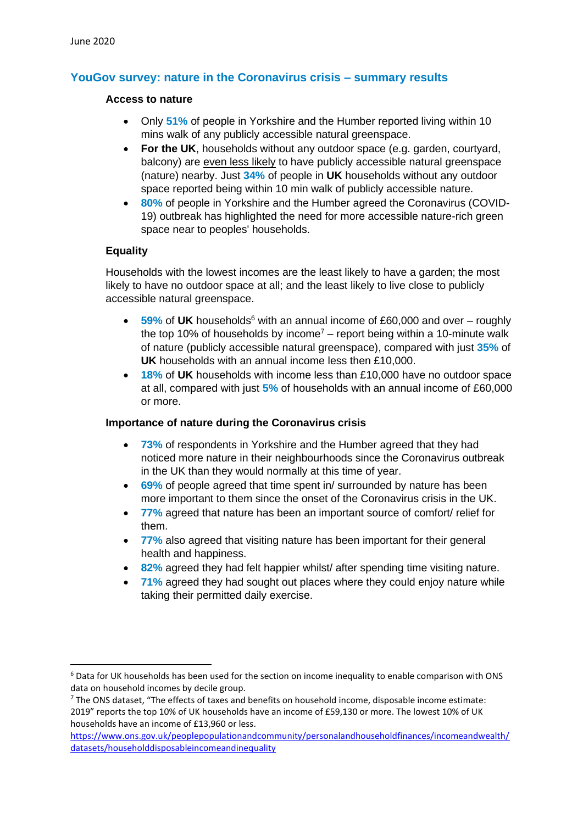# **YouGov survey: nature in the Coronavirus crisis – summary results**

#### **Access to nature**

- Only **51%** of people in Yorkshire and the Humber reported living within 10 mins walk of any publicly accessible natural greenspace.
- **For the UK**, households without any outdoor space (e.g. garden, courtyard, balcony) are even less likely to have publicly accessible natural greenspace (nature) nearby. Just **34%** of people in **UK** households without any outdoor space reported being within 10 min walk of publicly accessible nature.
- **80%** of people in Yorkshire and the Humber agreed the Coronavirus (COVID-19) outbreak has highlighted the need for more accessible nature-rich green space near to peoples' households.

### **Equality**

Households with the lowest incomes are the least likely to have a garden; the most likely to have no outdoor space at all; and the least likely to live close to publicly accessible natural greenspace.

- $59\%$  of UK households<sup>6</sup> with an annual income of £60,000 and over roughly the top 10% of households by income<sup>7</sup> – report being within a 10-minute walk of nature (publicly accessible natural greenspace), compared with just **35%** of **UK** households with an annual income less then £10,000.
- **18%** of **UK** households with income less than £10,000 have no outdoor space at all, compared with just **5%** of households with an annual income of £60,000 or more.

### **Importance of nature during the Coronavirus crisis**

- **73%** of respondents in Yorkshire and the Humber agreed that they had noticed more nature in their neighbourhoods since the Coronavirus outbreak in the UK than they would normally at this time of year.
- **69%** of people agreed that time spent in/ surrounded by nature has been more important to them since the onset of the Coronavirus crisis in the UK.
- **77%** agreed that nature has been an important source of comfort/ relief for them.
- **77%** also agreed that visiting nature has been important for their general health and happiness.
- **82%** agreed they had felt happier whilst/ after spending time visiting nature.
- **71%** agreed they had sought out places where they could enjoy nature while taking their permitted daily exercise.

<sup>6</sup> Data for UK households has been used for the section on income inequality to enable comparison with ONS data on household incomes by decile group.

 $7$  The ONS dataset, "The effects of taxes and benefits on household income, disposable income estimate: 2019" reports the top 10% of UK households have an income of £59,130 or more. The lowest 10% of UK households have an income of £13,960 or less.

[https://www.ons.gov.uk/peoplepopulationandcommunity/personalandhouseholdfinances/incomeandwealth/](https://www.ons.gov.uk/peoplepopulationandcommunity/personalandhouseholdfinances/incomeandwealth/datasets/householddisposableincomeandinequality) [datasets/householddisposableincomeandinequality](https://www.ons.gov.uk/peoplepopulationandcommunity/personalandhouseholdfinances/incomeandwealth/datasets/householddisposableincomeandinequality)